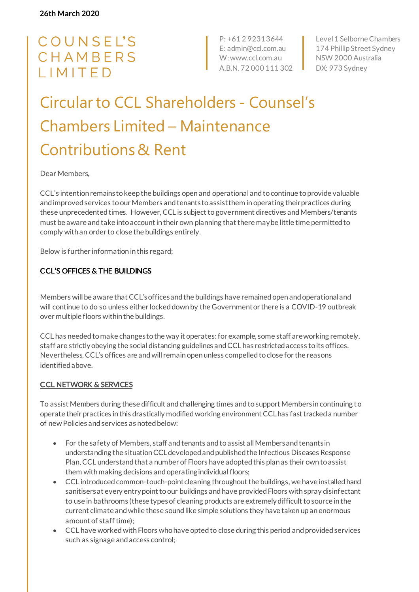# COUNSEL'S CHAMBERS IMITED

P: +61 2 9231 3644 E: admin@ccl.com.au W: www.ccl.com.au A.B.N. 72 000 111 302

Level 1 Selborne Chambers 174 Phillip Street Sydney NSW 2000 Australia DX: 973 Sydney

# Circular to CCL Shareholders - Counsel's Chambers Limited – Maintenance Contributions & Rent

Dear Members,

CCL's intention remains to keep the buildings open and operational and to continue to provide valuable and improved services to our Members and tenants to assist them in operating their practices during these unprecedented times. However, CCL is subject to government directives and Members/tenants must be aware and take into account in their own planning that there may be little time permitted to comply with an order to close the buildings entirely.

Below is further information in this regard;

#### CCL'S OFFICES & THE BUILDINGS

Members will be aware that CCL's offices and the buildings have remained open and operational and will continue to do so unless either locked down by the Government or there is a COVID-19 outbreak over multiple floors within the buildings.

CCL has needed to make changes to the way it operates: for example, some staff are working remotely, staff are strictly obeying the social distancing guidelines and CCL has restricted access to its offices. Nevertheless, CCL's offices are and will remain open unless compelled to close for the reasons identified above.

#### CCL NETWORK & SERVICES

To assist Members during these difficult and challenging times and to support Members in continuing to operate their practices in this drastically modified working environment CCL has fast tracked a number of new Policies and services as noted below:

- For the safety of Members, staff and tenants and to assist all Members and tenants in understanding the situation CCL developed and published the Infectious Diseases Response Plan, CCL understand that a number of Floors have adopted this plan as their own to assist them with making decisions and operating individual floors;
- CCL introduced common-touch-point cleaning throughout the buildings, we have installed hand sanitisers at every entry point to our buildings and have provided Floors with spray disinfectant to use in bathrooms (these types of cleaning products are extremely difficult to source in the current climate and while these sound like simple solutions they have taken up an enormous amount of staff time);
- CCL have worked with Floors who have opted to close during this period and provided services such as signage and access control;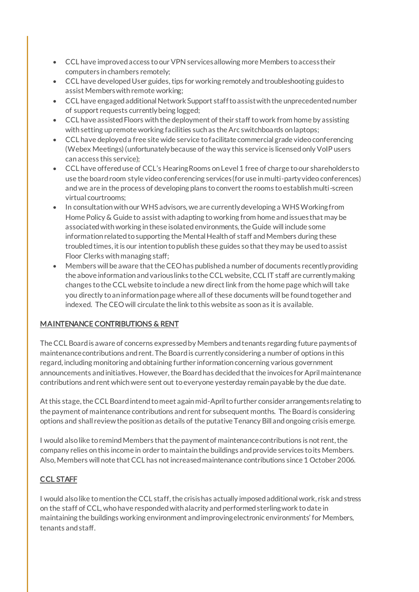- CCL have improved access to our VPN services allowing more Members to access their computers in chambers remotely;
- CCL have developed User guides, tips for working remotely and troubleshooting guides to assist Members with remote working;
- CCL have engaged additional Network Support staff to assist with the unprecedented number of support requests currently being logged;
- CCL have assisted Floors with the deployment of their staff to work from home by assisting with setting up remote working facilities such as the Arc switchboards on laptops;
- CCL have deployed a free site wide service to facilitate commercial grade video conferencing (Webex Meetings) (unfortunately because of the way this service is licensed only VoIP users can access this service);
- CCL have offered use of CCL's Hearing Rooms on Level 1 free of charge to our shareholders to use the board room style video conferencing services (for use in multi-party video conferences) and we are in the process of developing plans to convert the rooms to establish multi-screen virtual courtrooms;
- In consultation with our WHS advisors, we are currently developing a WHS Working from Home Policy & Guide to assist with adapting to working from home and issues that may be associated with working in these isolated environments, the Guide will include some information related to supporting the Mental Health of staff and Members during these troubled times, it is our intention to publish these guides so that they may be used to assist Floor Clerks with managing staff;
- Members will be aware that the CEO has published a number of documents recently providing the above information and various links to the CCL website, CCL IT staff are currently making changes to the CCL website to include a new direct link from the home page which will take you directly to an information page where all of these documents will be found together and indexed. The CEO will circulate the link to this website as soon as it is available.

## MAINTENANCE CONTRIBUTIONS & RENT

The CCL Board is aware of concerns expressed by Members and tenants regarding future payments of maintenance contributions and rent. The Board is currently considering a number of options in this regard, including monitoring and obtaining further information concerning various government announcements and initiatives. However, the Board has decided that the invoices for April maintenance contributions and rent which were sent out to everyone yesterday remain payable by the due date.

At this stage, the CCL Board intend to meet again mid-April to further consider arrangements relating to the payment of maintenance contributions and rent for subsequent months. The Board is considering options and shall review the position as details of the putative Tenancy Bill and ongoing crisis emerge.

I would also like to remind Members that the payment of maintenance contributions is not rent, the company relies on this income in order to maintain the buildings and provide services to its Members. Also, Members will note that CCL has not increased maintenance contributions since 1 October 2006.

## CCL STAFF

I would also like to mention the CCL staff, the crisis has actually imposed additional work, risk and stress on the staff of CCL, who have responded with alacrity and performed sterling work to date in maintaining the buildings working environment and improving electronic environments' for Members, tenants and staff.